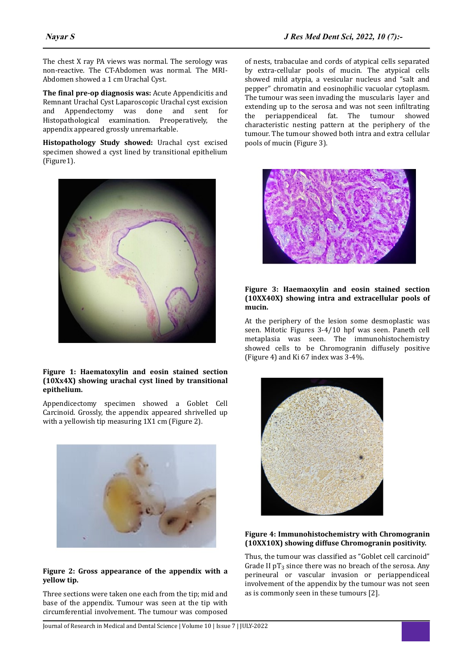The chest X ray PA views was normal. The serology was non-reactive. The CT-Abdomen was normal. The MRI-Abdomen showed a 1 cm Urachal Cyst.

**The final pre-op diagnosis was:** Acute Appendicitis and Remnant Urachal Cyst Laparoscopic Urachal cyst excision and Appendectomy was done and sent for Histopathological examination. Preoperatively, the appendix appeared grossly unremarkable.

**Histopathology Study showed:** Urachal cyst excised specimen showed a cyst lined by transitional epithelium (Figure1).



# **Figure 1: Haematoxylin and eosin stained section (10Xx4X) showing urachal cyst lined by transitional epithelium.**

Appendicectomy specimen showed a Goblet Cell Carcinoid. Grossly, the appendix appeared shrivelled up with a yellowish tip measuring 1X1 cm (Figure 2).



## **Figure 2: Gross appearance of the appendix with a yellow tip.**

Three sections were taken one each from the tip; mid and base of the appendix. Tumour was seen at the tip with circumferential involvement. The tumour was composed of nests, trabaculae and cords of atypical cells separated by extra-cellular pools of mucin. The atypical cells showed mild atypia, a vesicular nucleus and "salt and pepper" chromatin and eosinophilic vacuolar cytoplasm. The tumour was seen invading the muscularis layer and extending up to the serosa and was not seen infiltrating the periappendiceal fat. The tumour showed characteristic nesting pattern at the periphery of the tumour. The tumour showed both intra and extra cellular pools of mucin (Figure 3).



#### **Figure 3: Haemaoxylin and eosin stained section (10XX40X) showing intra and extracellular pools of mucin.**

At the periphery of the lesion some desmoplastic was seen. Mitotic Figures 3-4/10 hpf was seen. Paneth cell metaplasia was seen. The immunohistochemistry showed cells to be Chromogranin diffusely positive (Figure 4) and Ki 67 index was 3-4%.



# **Figure 4: Immunohistochemistry with Chromogranin (10XX10X) showing diffuse Chromogranin positivity.**

Thus, the tumour was classified as "Goblet cell carcinoid" Grade II  $pT_3$  since there was no breach of the serosa. Any perineural or vascular invasion or periappendiceal involvement of the appendix by the tumour was not seen as is commonly seen in these tumours [2].